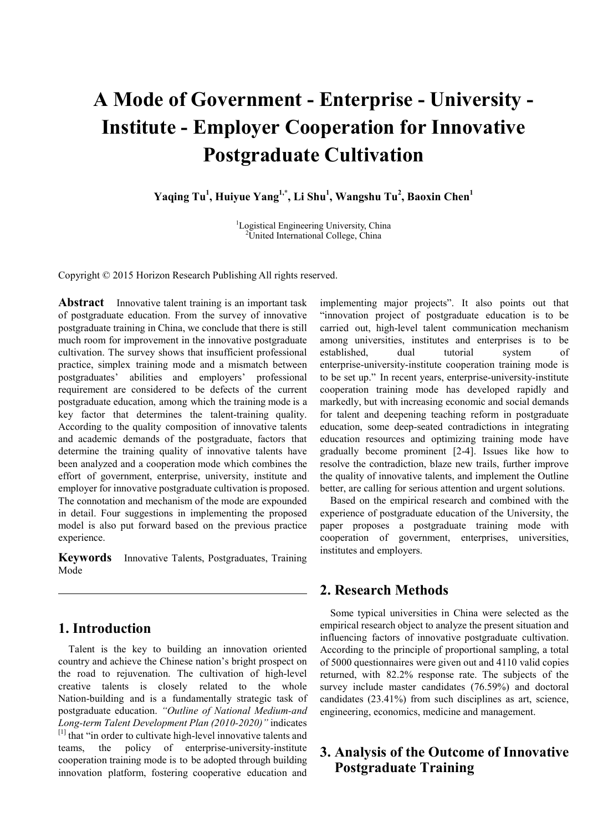# **A Mode of Government - Enterprise - University - Institute - Employer Cooperation for Innovative Postgraduate Cultivation**

**Yaqing Tu1 , Huiyue Yang1,\*, Li Shu1 , Wangshu Tu2 , Baoxin Chen1**

<sup>1</sup>Logistical Engineering University, China<br><sup>2</sup>LInited International College China <sup>2</sup>United International College, China

Copyright © 2015 Horizon Research Publishing All rights reserved.

**Abstract** Innovative talent training is an important task of postgraduate education. From the survey of innovative postgraduate training in China, we conclude that there is still much room for improvement in the innovative postgraduate cultivation. The survey shows that insufficient professional practice, simplex training mode and a mismatch between postgraduates' abilities and employers' professional requirement are considered to be defects of the current postgraduate education, among which the training mode is a key factor that determines the talent-training quality. According to the quality composition of innovative talents and academic demands of the postgraduate, factors that determine the training quality of innovative talents have been analyzed and a cooperation mode which combines the effort of government, enterprise, university, institute and employer for innovative postgraduate cultivation is proposed. The connotation and mechanism of the mode are expounded in detail. Four suggestions in implementing the proposed model is also put forward based on the previous practice experience.

**Keywords** Innovative Talents, Postgraduates, Training Mode

# **1. Introduction**

Talent is the key to building an innovation oriented country and achieve the Chinese nation's bright prospect on the road to rejuvenation. The cultivation of high-level creative talents is closely related to the whole Nation-building and is a fundamentally strategic task of postgraduate education. *"Outline of National Medium-and Long-term Talent Development Plan (2010-2020)"* indicates [1] that "in order to cultivate high-level innovative talents and teams, the policy of enterprise-university-institute cooperation training mode is to be adopted through building innovation platform, fostering cooperative education and

implementing major projects". It also points out that "innovation project of postgraduate education is to be carried out, high-level talent communication mechanism among universities, institutes and enterprises is to be established, dual tutorial system of enterprise-university-institute cooperation training mode is to be set up." In recent years, enterprise-university-institute cooperation training mode has developed rapidly and markedly, but with increasing economic and social demands for talent and deepening teaching reform in postgraduate education, some deep-seated contradictions in integrating education resources and optimizing training mode have gradually become prominent [2-4]. Issues like how to resolve the contradiction, blaze new trails, further improve the quality of innovative talents, and implement the Outline better, are calling for serious attention and urgent solutions.

Based on the empirical research and combined with the experience of postgraduate education of the University, the paper proposes a postgraduate training mode with cooperation of government, enterprises, universities, institutes and employers.

## **2. Research Methods**

Some typical universities in China were selected as the empirical research object to analyze the present situation and influencing factors of innovative postgraduate cultivation. According to the principle of proportional sampling, a total of 5000 questionnaires were given out and 4110 valid copies returned, with 82.2% response rate. The subjects of the survey include master candidates (76.59%) and doctoral candidates (23.41%) from such disciplines as art, science, engineering, economics, medicine and management.

# **3. Analysis of the Outcome of Innovative Postgraduate Training**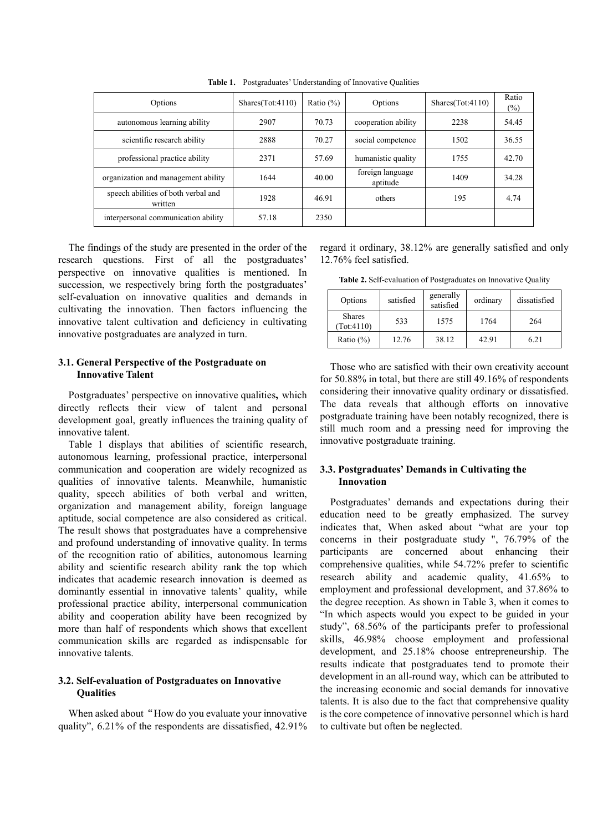| Options                                        | Shares(Tot:4110) | Ratio $(\%)$ | Options                      | Shares(Tot:4110) | Ratio<br>$(\%)$ |
|------------------------------------------------|------------------|--------------|------------------------------|------------------|-----------------|
| autonomous learning ability                    | 2907             | 70.73        | cooperation ability          | 2238             | 54.45           |
| scientific research ability                    | 2888             | 70.27        | social competence            | 1502             | 36.55           |
| professional practice ability                  | 2371             | 57.69        | humanistic quality           | 1755             | 42.70           |
| organization and management ability            | 1644             | 40.00        | foreign language<br>aptitude | 1409             | 34.28           |
| speech abilities of both verbal and<br>written | 1928             | 46.91        | others                       | 195              | 4.74            |
| interpersonal communication ability            | 57.18            | 2350         |                              |                  |                 |

**Table 1.** Postgraduates' Understanding of Innovative Qualities

The findings of the study are presented in the order of the research questions. First of all the postgraduates' perspective on innovative qualities is mentioned. In succession, we respectively bring forth the postgraduates' self-evaluation on innovative qualities and demands in cultivating the innovation. Then factors influencing the innovative talent cultivation and deficiency in cultivating innovative postgraduates are analyzed in turn.

### **3.1. General Perspective of the Postgraduate on Innovative Talent**

Postgraduates' perspective on innovative qualities**,** which directly reflects their view of talent and personal development goal, greatly influences the training quality of innovative talent.

Table 1 displays that abilities of scientific research, autonomous learning, professional practice, interpersonal communication and cooperation are widely recognized as qualities of innovative talents. Meanwhile, humanistic quality, speech abilities of both verbal and written, organization and management ability, foreign language aptitude, social competence are also considered as critical. The result shows that postgraduates have a comprehensive and profound understanding of innovative quality. In terms of the recognition ratio of abilities, autonomous learning ability and scientific research ability rank the top which indicates that academic research innovation is deemed as dominantly essential in innovative talents' quality, while professional practice ability, interpersonal communication ability and cooperation ability have been recognized by more than half of respondents which shows that excellent communication skills are regarded as indispensable for innovative talents.

### **3.2. Self-evaluation of Postgraduates on Innovative Qualities**

When asked about "How do you evaluate your innovative quality", 6.21% of the respondents are dissatisfied, 42.91% regard it ordinary, 38.12% are generally satisfied and only 12.76% feel satisfied.

**Table 2.** Self-evaluation of Postgraduates on Innovative Quality

| Options                     | satisfied | generally<br>satisfied | ordinary |      |
|-----------------------------|-----------|------------------------|----------|------|
| <b>Shares</b><br>(Tot:4110) | 533       | 1575                   | 1764     | 264  |
| Ratio $(\% )$               | 12.76     | 38.12                  | 42.91    | 6.21 |

Those who are satisfied with their own creativity account for 50.88% in total, but there are still 49.16% of respondents considering their innovative quality ordinary or dissatisfied. The data reveals that although efforts on innovative postgraduate training have been notably recognized, there is still much room and a pressing need for improving the innovative postgraduate training.

### **3.3. Postgraduates' Demands in Cultivating the Innovation**

Postgraduates' demands and expectations during their education need to be greatly emphasized. The survey indicates that, When asked about "what are your top concerns in their postgraduate study ", 76.79% of the participants are concerned about enhancing their comprehensive qualities, while 54.72% prefer to scientific research ability and academic quality, 41.65% to employment and professional development, and 37.86% to the degree reception. As shown in Table 3, when it comes to "In which aspects would you expect to be guided in your study", 68.56% of the participants prefer to professional skills, 46.98% choose employment and professional development, and 25.18% choose entrepreneurship. The results indicate that postgraduates tend to promote their development in an all-round way, which can be attributed to the increasing economic and social demands for innovative talents. It is also due to the fact that comprehensive quality is the core competence of innovative personnel which is hard to cultivate but often be neglected.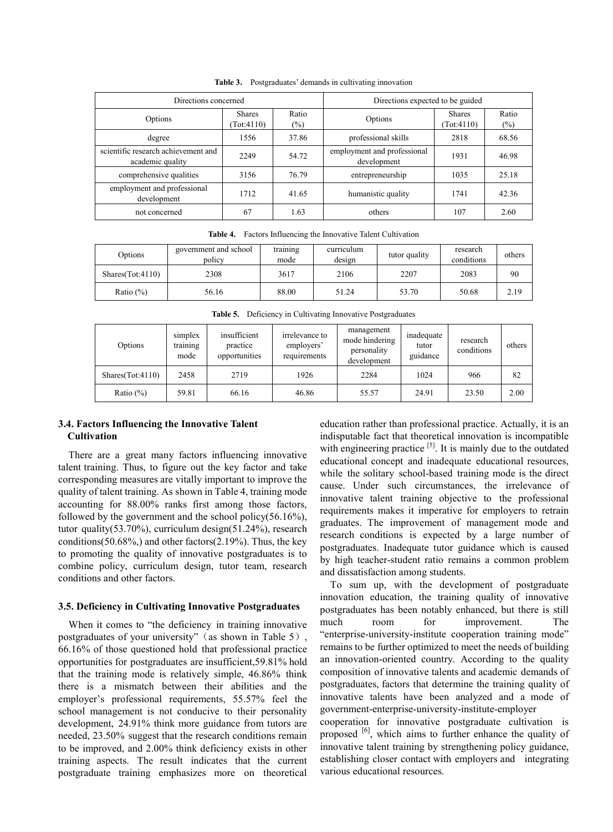| Directions concerned                                    | Directions expected to be guided |              |                                            |                            |              |
|---------------------------------------------------------|----------------------------------|--------------|--------------------------------------------|----------------------------|--------------|
| Options                                                 | <b>Shares</b><br>(Tot:4110)      | Ratio<br>(%) | Options                                    | <b>Shares</b><br>Tot:4110) | Ratio<br>(%) |
| degree                                                  | 1556                             | 37.86        | professional skills                        | 2818                       | 68.56        |
| scientific research achievement and<br>academic quality | 2249                             | 54.72        | employment and professional<br>development | 1931                       | 46.98        |
| comprehensive qualities                                 | 3156                             | 76.79        | entrepreneurship                           | 1035                       | 25.18        |
| employment and professional<br>development              | 1712                             | 41.65        | humanistic quality                         | 1741                       | 42.36        |
| not concerned                                           | 67                               | 1.63         | others                                     | 107                        | 2.60         |

**Table 3.** Postgraduates' demands in cultivating innovation

**Table 4.** Factors Influencing the Innovative Talent Cultivation

| Options          | government and school<br>policy | training<br>mode | curriculum<br>design | tutor quality | research<br>conditions | others |
|------------------|---------------------------------|------------------|----------------------|---------------|------------------------|--------|
| Shares(Tot:4110) | 2308                            | 3617             | 2106                 | 2207          | 2083                   | 90     |
| Ratio $(\%)$     | 56.16                           | 88.00            | 51.24                | 53.70         | 50.68                  | 2.19   |

**Table 5.** Deficiency in Cultivating Innovative Postgraduates

| Options          | simplex<br>$\cdot$ $\cdot$<br>training<br>mode | insufficient<br>practice<br>opportunities | irrelevance to<br>employers'<br>requirements | management<br>mode hindering<br>personality<br>development | inadequate<br>tutor<br>guidance | research<br>conditions | others |
|------------------|------------------------------------------------|-------------------------------------------|----------------------------------------------|------------------------------------------------------------|---------------------------------|------------------------|--------|
| Shares(Tot:4110) | 2458                                           | 2719                                      | 1926                                         | 2284                                                       | 1024                            | 966                    | 82     |
| Ratio $(\%)$     | 59.81                                          | 66.16                                     | 46.86                                        | 55.57                                                      | 24.91                           | 23.50                  | 2.00   |

#### **3.4. Factors Influencing the Innovative Talent Cultivation**

There are a great many factors influencing innovative talent training. Thus, to figure out the key factor and take corresponding measures are vitally important to improve the quality of talent training. As shown in Table 4, training mode accounting for 88.00% ranks first among those factors, followed by the government and the school policy(56.16%), tutor quality(53.70%), curriculum design(51.24%), research conditions(50.68%), and other factors(2.19%). Thus, the key to promoting the quality of innovative postgraduates is to combine policy, curriculum design, tutor team, research conditions and other factors.

#### **3.5. Deficiency in Cultivating Innovative Postgraduates**

When it comes to "the deficiency in training innovative postgraduates of your university" (as shown in Table 5). 66.16% of those questioned hold that professional practice opportunities for postgraduates are insufficient,59.81% hold that the training mode is relatively simple, 46.86% think there is a mismatch between their abilities and the employer's professional requirements, 55.57% feel the school management is not conducive to their personality development, 24.91% think more guidance from tutors are needed, 23.50% suggest that the research conditions remain to be improved, and 2.00% think deficiency exists in other training aspects. The result indicates that the current postgraduate training emphasizes more on theoretical

education rather than professional practice. Actually, it is an indisputable fact that theoretical innovation is incompatible with engineering practice  $[5]$ . It is mainly due to the outdated educational concept and inadequate educational resources, while the solitary school-based training mode is the direct cause. Under such circumstances, the irrelevance of innovative talent training objective to the professional requirements makes it imperative for employers to retrain graduates. The improvement of management mode and research conditions is expected by a large number of postgraduates. Inadequate tutor guidance which is caused by high teacher-student ratio remains a common problem and dissatisfaction among students.

To sum up, with the development of postgraduate innovation education, the training quality of innovative postgraduates has been notably enhanced, but there is still much room for improvement. The "enterprise-university-institute cooperation training mode" remains to be further optimized to meet the needs of building an innovation-oriented country. According to the quality composition of innovative talents and academic demands of postgraduates, factors that determine the training quality of innovative talents have been analyzed and a mode of government-enterprise-university-institute-employer

cooperation for innovative postgraduate cultivation is proposed  $\frac{16}{1}$ , which aims to further enhance the quality of innovative talent training by strengthening policy guidance, establishing closer contact with employers and integrating various educational resources.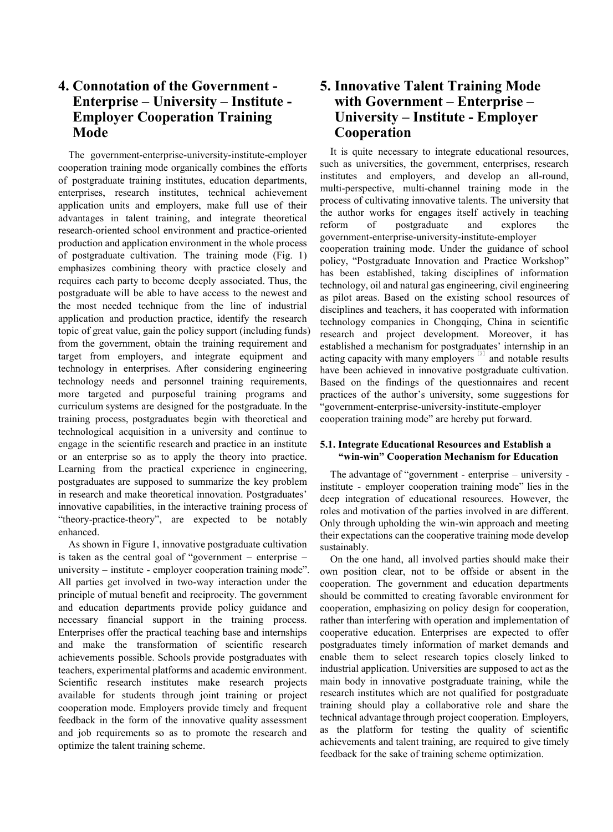# **4. Connotation of the Government - Enterprise – University – Institute - Employer Cooperation Training Mode**

The government-enterprise-university-institute-employer cooperation training mode organically combines the efforts of postgraduate training institutes, education departments, enterprises, research institutes, technical achievement application units and employers, make full use of their advantages in talent training, and integrate theoretical research-oriented school environment and practice-oriented production and application environment in the whole process of postgraduate cultivation. The training mode (Fig. 1) emphasizes combining theory with practice closely and requires each party to become deeply associated. Thus, the postgraduate will be able to have access to the newest and the most needed technique from the line of industrial application and production practice, identify the research topic of great value, gain the policy support (including funds) from the government, obtain the training requirement and target from employers, and integrate equipment and technology in enterprises. After considering engineering technology needs and personnel training requirements, more targeted and purposeful training programs and curriculum systems are designed for the postgraduate. In the training process, postgraduates begin with theoretical and technological acquisition in a university and continue to engage in the scientific research and practice in an institute or an enterprise so as to apply the theory into practice. Learning from the practical experience in engineering, postgraduates are supposed to summarize the key problem in research and make theoretical innovation. Postgraduates' innovative capabilities, in the interactive training process of "theory-practice-theory", are expected to be notably enhanced.

As shown in Figure 1, innovative postgraduate cultivation is taken as the central goal of "government – enterprise – university – institute - employer cooperation training mode". All parties get involved in two-way interaction under the principle of mutual benefit and reciprocity. The government and education departments provide policy guidance and necessary financial support in the training process. Enterprises offer the practical teaching base and internships and make the transformation of scientific research achievements possible. Schools provide postgraduates with teachers, experimental platforms and academic environment. Scientific research institutes make research projects available for students through joint training or project cooperation mode. Employers provide timely and frequent feedback in the form of the innovative quality assessment and job requirements so as to promote the research and optimize the talent training scheme.

# **5. Innovative Talent Training Mode with Government – Enterprise – University – Institute - Employer Cooperation**

It is quite necessary to integrate educational resources, such as universities, the government, enterprises, research institutes and employers, and develop an all-round, multi-perspective, multi-channel training mode in the process of cultivating innovative talents. The university that the author works for engages itself actively in teaching reform of postgraduate and explores the government-enterprise-university-institute-employer cooperation training mode. Under the guidance of school policy, "Postgraduate Innovation and Practice Workshop" has been established, taking disciplines of information technology, oil and natural gas engineering, civil engineering as pilot areas. Based on the existing school resources of disciplines and teachers, it has cooperated with information technology companies in Chongqing, China in scientific research and project development. Moreover, it has established a mechanism for postgraduates' internship in an acting capacity with many employers  $\frac{1}{2}$  and notable results have been achieved in innovative postgraduate cultivation. Based on the findings of the questionnaires and recent practices of the author's university, some suggestions for "government-enterprise-university-institute-employer cooperation training mode" are hereby put forward.

### **5.1. Integrate Educational Resources and Establish a "win-win" Cooperation Mechanism for Education**

The advantage of "government - enterprise – university institute - employer cooperation training mode" lies in the deep integration of educational resources. However, the roles and motivation of the parties involved in are different. Only through upholding the win-win approach and meeting their expectations can the cooperative training mode develop sustainably.

On the one hand, all involved parties should make their own position clear, not to be offside or absent in the cooperation. The government and education departments should be committed to creating favorable environment for cooperation, emphasizing on policy design for cooperation, rather than interfering with operation and implementation of cooperative education. Enterprises are expected to offer postgraduates timely information of market demands and enable them to select research topics closely linked to industrial application. Universities are supposed to act as the main body in innovative postgraduate training, while the research institutes which are not qualified for postgraduate training should play a collaborative role and share the technical advantage through project cooperation. Employers, as the platform for testing the quality of scientific achievements and talent training, are required to give timely feedback for the sake of training scheme optimization.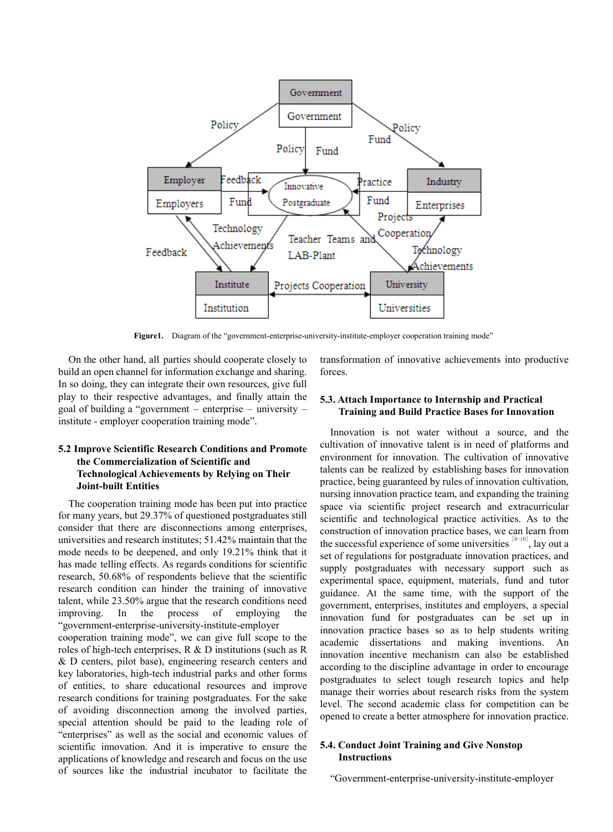

Figure1. Diagram of the "government-enterprise-university-institute-employer cooperation training mode"

On the other hand, all parties should cooperate closely to build an open channel for information exchange and sharing. In so doing, they can integrate their own resources, give full play to their respective advantages, and finally attain the goal of building a "government – enterprise – university – institute - employer cooperation training mode".

### **5.2 Improve Scientific Research Conditions and Promote the Commercialization of Scientific and Technological Achievements by Relying on Their Joint-built Entities**

The cooperation training mode has been put into practice for many years, but 29.37% of questioned postgraduates still consider that there are disconnections among enterprises, universities and research institutes; 51.42% maintain that the mode needs to be deepened, and only 19.21% think that it has made telling effects. As regards conditions for scientific research, 50.68% of respondents believe that the scientific research condition can hinder the training of innovative talent, while 23.50% argue that the research conditions need improving. In the process of employing the "government-enterprise-university-institute-employer cooperation training mode", we can give full scope to the roles of high-tech enterprises, R & D institutions (such as R & D centers, pilot base), engineering research centers and key laboratories, high-tech industrial parks and other forms of entities, to share educational resources and improve research conditions for training postgraduates. For the sake of avoiding disconnection among the involved parties, special attention should be paid to the leading role of "enterprises" as well as the social and economic values of scientific innovation. And it is imperative to ensure the applications of knowledge and research and focus on the use

of sources like the industrial incubator to facilitate the

transformation of innovative achievements into productive forces.

### **5.3. Attach Importance to Internship and Practical Training and Build Practice Bases for Innovation**

Innovation is not water without a source, and the cultivation of innovative talent is in need of platforms and environment for innovation. The cultivation of innovative talents can be realized by establishing bases for innovation practice, being guaranteed by rules of innovation cultivation, nursing innovation practice team, and expanding the training space via scientific project research and extracurricular scientific and technological practice activities. As to the construction of innovation practice bases, we can learn from the successful experience of some universities  $[8-10]$ , lay out a set of regulations for postgraduate innovation practices, and supply postgraduates with necessary support such as experimental space, equipment, materials, fund and tutor guidance. At the same time, with the support of the government, enterprises, institutes and employers, a special innovation fund for postgraduates can be set up in innovation practice bases so as to help students writing academic dissertations and making inventions. An innovation incentive mechanism can also be established according to the discipline advantage in order to encourage postgraduates to select tough research topics and help manage their worries about research risks from the system level. The second academic class for competition can be opened to create a better atmosphere for innovation practice.

#### **5.4. Conduct Joint Training and Give Nonstop Instructions**

"Government-enterprise-university-institute-employer